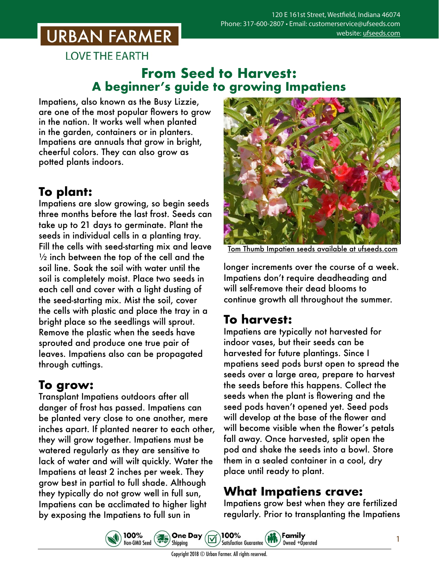## **URBAN FARMER**

**LOVE THE EARTH** 

### **From Seed to Harvest: A beginner's guide to growing Impatiens**

Impatiens, also known as the Busy Lizzie, are one of the most popular flowers to grow in the nation. It works well when planted in the garden, containers or in planters. Impatiens are annuals that grow in bright, cheerful colors. They can also grow as potted plants indoors.

## **To plant:**

Impatiens are slow growing, so begin seeds three months before the last frost. Seeds can take up to 21 days to germinate. Plant the seeds in individual cells in a planting tray. Fill the cells with seed-starting mix and leave  $\frac{1}{2}$  inch between the top of the cell and the soil line. Soak the soil with water until the soil is completely moist. Place two seeds in each cell and cover with a light dusting of the seed-starting mix. Mist the soil, cover the cells with plastic and place the tray in a bright place so the seedlings will sprout. Remove the plastic when the seeds have sprouted and produce one true pair of leaves. Impatiens also can be propagated through cuttings.

## **To grow:**

Transplant Impatiens outdoors after all danger of frost has passed. Impatiens can be planted very close to one another, mere inches apart. If planted nearer to each other, they will grow together. Impatiens must be watered regularly as they are sensitive to lack of water and will wilt quickly. Water the Impatiens at least 2 inches per week. They grow best in partial to full shade. Although they typically do not grow well in full sun, Impatiens can be acclimated to higher light by exposing the Impatiens to full sun in



Tom Thumb Impatien seeds available at ufseeds

longer increments over the course of a week. Impatiens don't require deadheading and will self-remove their dead blooms to continue growth all throughout the summer.

#### **To harvest:**

Impatiens are typically not harvested for indoor vases, but their seeds can be harvested for future plantings. Since I mpatiens seed pods burst open to spread the seeds over a large area, prepare to harvest the seeds before this happens. Collect the seeds when the plant is flowering and the seed pods haven't opened yet. Seed pods will develop at the base of the flower and will become visible when the flower's petals fall away. Once harvested, split open the pod and shake the seeds into a bowl. Store them in a sealed container in a cool, dry place until ready to plant.

## **What Impatiens crave:**

Impatiens grow best when they are fertilized regularly. Prior to transplanting the Impatiens





Copyright 2018 © Urban Farmer. All rights reserved.

100%